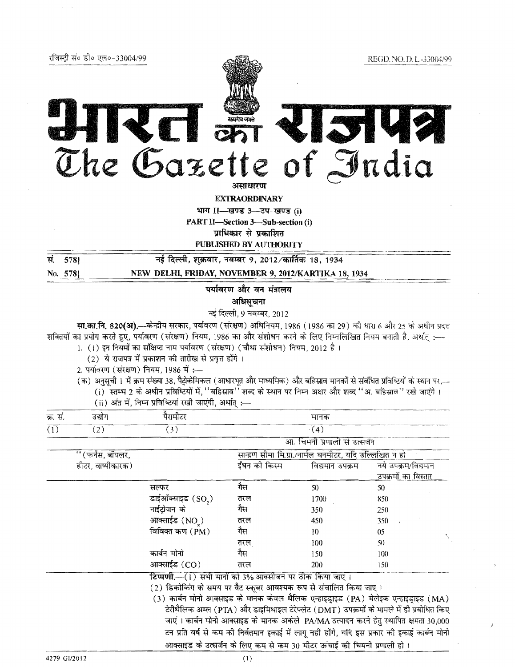|           | रजिस्ट्री सं० डी० एल०-33004/99          |                                                                                                                                                                                                                                                                                                                                                                                                                                                                                                                                                                                                                                                                                                                 |                                                   |                                                         | REGD. NO. D. L.-33004/99   |
|-----------|-----------------------------------------|-----------------------------------------------------------------------------------------------------------------------------------------------------------------------------------------------------------------------------------------------------------------------------------------------------------------------------------------------------------------------------------------------------------------------------------------------------------------------------------------------------------------------------------------------------------------------------------------------------------------------------------------------------------------------------------------------------------------|---------------------------------------------------|---------------------------------------------------------|----------------------------|
|           |                                         | The Gazette of India                                                                                                                                                                                                                                                                                                                                                                                                                                                                                                                                                                                                                                                                                            |                                                   |                                                         |                            |
|           |                                         |                                                                                                                                                                                                                                                                                                                                                                                                                                                                                                                                                                                                                                                                                                                 | असाधारण                                           |                                                         |                            |
|           |                                         |                                                                                                                                                                                                                                                                                                                                                                                                                                                                                                                                                                                                                                                                                                                 | <b>EXTRAORDINARY</b><br>भाग II-खण्ड 3-उप-खण्ड (i) |                                                         |                            |
|           |                                         |                                                                                                                                                                                                                                                                                                                                                                                                                                                                                                                                                                                                                                                                                                                 | <b>PART II-Section 3-Sub-section (i)</b>          |                                                         |                            |
|           |                                         |                                                                                                                                                                                                                                                                                                                                                                                                                                                                                                                                                                                                                                                                                                                 | प्राधिकार से प्रकाशित                             |                                                         |                            |
|           |                                         |                                                                                                                                                                                                                                                                                                                                                                                                                                                                                                                                                                                                                                                                                                                 | <b>PUBLISHED BY AUTHORITY</b>                     |                                                         |                            |
| स.<br>578 |                                         | नई दिल्ली, शुक्रवार, नवम्बर 9, 2012 ⁄ कार्तिक 18, 1934                                                                                                                                                                                                                                                                                                                                                                                                                                                                                                                                                                                                                                                          |                                                   |                                                         |                            |
| No. 578   |                                         | NEW DELHI, FRIDAY, NOVEMBER 9, 2012/KARTIKA 18, 1934                                                                                                                                                                                                                                                                                                                                                                                                                                                                                                                                                                                                                                                            |                                                   |                                                         |                            |
|           |                                         |                                                                                                                                                                                                                                                                                                                                                                                                                                                                                                                                                                                                                                                                                                                 | पर्यावरण और वन मंत्रालय                           |                                                         |                            |
|           |                                         |                                                                                                                                                                                                                                                                                                                                                                                                                                                                                                                                                                                                                                                                                                                 | अधिसूचना                                          |                                                         |                            |
|           |                                         |                                                                                                                                                                                                                                                                                                                                                                                                                                                                                                                                                                                                                                                                                                                 | नई दिल्ली, 9 नवम्बर, 2012                         |                                                         |                            |
|           | 2. पर्यावरण (संरक्षण) नियम, 1986 में :— | सा.का.नि. 820(अ).—केन्द्रीय सरकार, पर्यावरण (संरक्षण) अधिनियम, 1986 (1986 का 29) को धारा 6 और 25 के अधीन प्रदत्त<br>शक्तियों का प्रयोग करते हुए, पर्यावरण (संरक्षण) नियम, 1986 का और संशोधन करने के लिए निम्नलिखित नियम बनाती है, अर्थात् :-<br>1. (1) इन नियमों का संक्षिप्त नाम पर्यावरण (संरक्षण) (चौथा संशोधन) नियम, 2012 है।<br>(2) ये राजपत्र में प्रकाशन की तारीख से प्रवृत्त होंगे।<br>(क) अनुसूची । में क्रम संख्या 38, पैट्रोकेमिकल (आधारभूत और माध्यमिक) और बहिस्राव मानकों से संबंधित प्रविष्टियों के स्थान पर,—<br>(i) स्तम्भ 2 के अधीन प्रविष्टियों में, ''बहिस्राव'' शब्द के स्थान पर निम्न अक्षर और शब्द ''अ. बहिस्राव'' रखे जाएंगे।<br>(ii) अंत में, निम्न प्रविष्टियां रखी जाएंगी, अर्थात् :- |                                                   |                                                         |                            |
| क्र. सं.  | उद्योग                                  | पैरामीटर                                                                                                                                                                                                                                                                                                                                                                                                                                                                                                                                                                                                                                                                                                        |                                                   | मानक                                                    |                            |
| (1)       | (2)                                     | (3)                                                                                                                                                                                                                                                                                                                                                                                                                                                                                                                                                                                                                                                                                                             |                                                   | (4)                                                     |                            |
|           |                                         |                                                                                                                                                                                                                                                                                                                                                                                                                                                                                                                                                                                                                                                                                                                 |                                                   | आ. चिमनी प्रणाली से उत्सर्जन                            |                            |
|           | " (फर्नेस, बॉयलर,                       |                                                                                                                                                                                                                                                                                                                                                                                                                                                                                                                                                                                                                                                                                                                 |                                                   | सान्द्रण सीमा मि.ग्रा./नार्मल घनमीटर, यदि उल्लिखित न हो |                            |
|           | हीटर, वाष्पीकारक)                       |                                                                                                                                                                                                                                                                                                                                                                                                                                                                                                                                                                                                                                                                                                                 | ईंधन को किस्म                                     | विद्यमान उपक्रम                                         | नये उपक्रम/विद्यमान        |
|           |                                         |                                                                                                                                                                                                                                                                                                                                                                                                                                                                                                                                                                                                                                                                                                                 | गैस                                               |                                                         | <u>उपक्रमों का विस्तार</u> |
|           |                                         | सल्फर<br>डाईऑक्साइड $(SO, )$                                                                                                                                                                                                                                                                                                                                                                                                                                                                                                                                                                                                                                                                                    | तरल                                               | 50<br>1700                                              | 50<br>850                  |
|           |                                         | नाईट्रोजन के                                                                                                                                                                                                                                                                                                                                                                                                                                                                                                                                                                                                                                                                                                    | गैस                                               | 350                                                     | 250                        |
|           |                                         | आक्साईड $(NOx)$                                                                                                                                                                                                                                                                                                                                                                                                                                                                                                                                                                                                                                                                                                 | तरल                                               | 450                                                     | 350                        |
|           |                                         | विविक्त कण (PM)                                                                                                                                                                                                                                                                                                                                                                                                                                                                                                                                                                                                                                                                                                 | गैस                                               | 10                                                      | 05                         |
|           |                                         |                                                                                                                                                                                                                                                                                                                                                                                                                                                                                                                                                                                                                                                                                                                 | तरल                                               | 100                                                     | 50                         |
|           |                                         | कार्बन मोनो                                                                                                                                                                                                                                                                                                                                                                                                                                                                                                                                                                                                                                                                                                     | गैस                                               | 150                                                     | 100                        |
|           |                                         | आक्साईड (CO)                                                                                                                                                                                                                                                                                                                                                                                                                                                                                                                                                                                                                                                                                                    | तरल                                               | 200                                                     | 150                        |
|           |                                         | टिप्पणी.- (1) सभी मानों को 3% आक्सीजन पर ठीक किया जाए।<br>(१) निसोड़िंग से गएए एए तैर उठना शांतफाढ़ कप से गुंजातित दिया जाए                                                                                                                                                                                                                                                                                                                                                                                                                                                                                                                                                                                     |                                                   |                                                         |                            |

(2) डिकोकिंग के समय पर वैट स्कूबर आवश्यक रूप से संचालित किया जाए ।

(3) कार्बन मोनो आक्साइड के मानक केवल थैलिक एन्हाइड्राइड (PA) मेलेइक एन्हाइड्राइड (MA) .<br>टेरीथैलिक अम्ल (PTA) और डाइमिथाइल टेरेफ्लेट (DMT) उपक्रमों के मामले में ही प्रबोधित किए जाएं। कार्बन मोनो आक्साइड के मानक अर्कले PA/MA उत्पादन करने हेतु स्थापित क्षमता 30,000 टन प्रति वर्ष से कम की निर्वतमान इकाई में लागू नहीं होंगे, यदि इस प्रकार की इकाई कार्बन मोनो आक्साइड के उत्सर्जन के लिए कम से कम 30 मीटर ऊंचाई की चिमनी प्रणाली हो।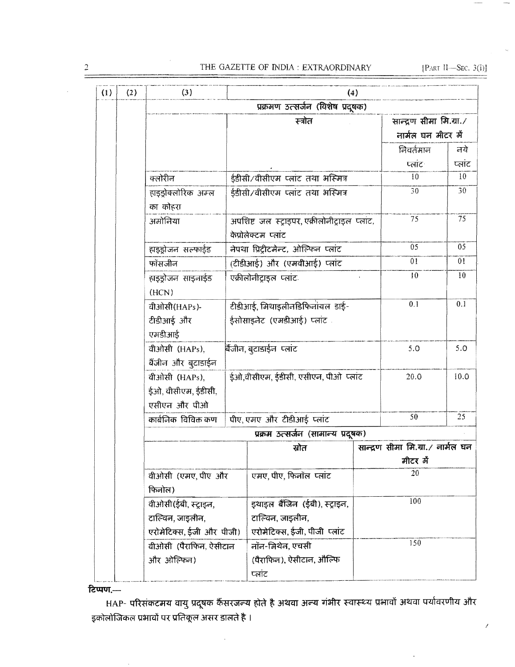### THE GAZETTE OF INDIA : EXTRAORDINARY

[PART II-SEC.  $3(i)$ ]

Ź

| (1) | (2) | (3)<br>(4)                          |                           |                                                                      |                 |                                   |                 |  |  |
|-----|-----|-------------------------------------|---------------------------|----------------------------------------------------------------------|-----------------|-----------------------------------|-----------------|--|--|
|     |     | प्रक्रमण उत्सर्जन (विशेष प्रदूषक)   |                           |                                                                      |                 |                                   |                 |  |  |
|     |     |                                     | सान्द्रण सीमा मि.ग्रा./   |                                                                      |                 |                                   |                 |  |  |
|     |     |                                     |                           |                                                                      |                 | नार्मल घन मीटर में                |                 |  |  |
|     |     |                                     |                           |                                                                      |                 | निवर्तमान                         | नये             |  |  |
|     |     |                                     |                           |                                                                      |                 | प्लांट                            | प्लांट          |  |  |
|     |     | क्लोरीन                             | 10                        | 10                                                                   |                 |                                   |                 |  |  |
|     |     | हाइड्रोक्लोरिक अम्ल<br>का कोहरा     |                           | ईडीसी/वीसीएम प्लांट तथा भस्मित्र                                     |                 | 30                                | 30              |  |  |
|     |     | अमोनिया                             |                           | अपशिष्ट जल स्ट्राइपर, एक्रीलोनीट्राइल प्लांट,<br>केप्रोलेक्टम प्लांट |                 | 75                                | $\overline{75}$ |  |  |
|     |     | हाइडोजन सल्फाईड                     |                           | नेपथा प्रिट्रीटमेन्ट, ओल्फिन प्लांट                                  |                 | 05                                | $\overline{05}$ |  |  |
|     |     | फॉसजीन                              |                           | (टीडीआई) और (एमवीआई) प्लांट                                          | $\overline{01}$ | 01                                |                 |  |  |
|     |     | हाइडोजन साइनाईड<br>(HCN)            |                           | एक्रीलोनीटाइल प्लांट                                                 |                 | 10                                | $\overline{10}$ |  |  |
|     |     | वीओसी(HAPs)-                        |                           | टीडीआई, मिथाइलीनडिफिनांयल डाई-                                       | 0.1             | 0.1                               |                 |  |  |
|     |     | टीडीआई और<br>एमडीआई                 | ईसोसाइलेट (एमडीआई) प्लांट |                                                                      |                 |                                   |                 |  |  |
|     |     | वीओसी (HAPs),                       |                           | बैजीन, बुटाडाईन प्लांट                                               |                 | 5.0                               | 5.0             |  |  |
|     |     | बैंजीन और बुटाडाईन                  |                           |                                                                      |                 |                                   |                 |  |  |
|     |     | वीओसी (HAPs),                       |                           | ईओ,वीसीएम, ईडीसी, एसीएन, पीओ प्लांट                                  |                 | 20.0                              | 10.0            |  |  |
|     |     | ईओ, वीसीएम, ईंडीसी,                 |                           |                                                                      |                 |                                   |                 |  |  |
|     |     | एसीएन और पीओ<br>कार्बनिक विविक्त कण |                           | पीए, एमए और टीडीआई प्लांट                                            |                 | 50                                | 25              |  |  |
|     |     |                                     |                           | प्रक्रम उत्सर्जन (सामान्य प्रदूषक)                                   |                 |                                   |                 |  |  |
|     |     |                                     |                           | स्रोत                                                                |                 | सान्द्रण सीमा मि.ग्रा./ नार्मल घन |                 |  |  |
|     |     |                                     |                           |                                                                      |                 | मीटर में                          |                 |  |  |
|     |     | वीओसी (एमए, पीए) और                 |                           | एमए, पीए, फिनॉल प्लांट                                               |                 | 20                                |                 |  |  |
|     |     | फिनोल)                              |                           |                                                                      |                 |                                   |                 |  |  |
|     |     | वीओसी(ईबी, स्ट्राइन,                |                           | इथाइल बैंजिन (ईबी), स्ट्राइन,                                        | 100             |                                   |                 |  |  |
|     |     | टाल्विन, जाइलीन,                    |                           | टाल्विन, जाइलीन,                                                     |                 |                                   |                 |  |  |
|     |     | एरोमेटिक्स, ईजी और पीजी)            |                           | एरोमेटिक्स, ईजी, पीजी प्लांट                                         |                 | 150                               |                 |  |  |
|     |     | वीओसी (पैराफिन, ऐसीटान              |                           | नॉन-मिथेन, एचसी                                                      |                 |                                   |                 |  |  |
|     |     | और ओल्फिन)                          |                           | (पैराफिल), ऐसीटाल, औल्फि<br>प्लांट                                   |                 |                                   |                 |  |  |

## टिप्पण,—

HAP- परिसंकटमय वायु प्रदूषक कैंसरजल्य होते है अथवा अल्य गंभीर स्वास्थ्य प्रभावों अथवा पर्यावरणीय और इकोलोजिकल प्रभावों पर प्रतिकूल असर डालते है ।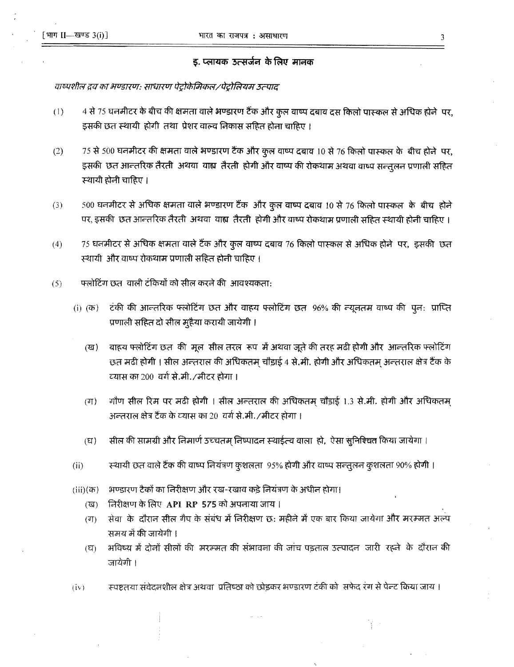#### ड. प्लायक उत्सर्जन के लिए मानक

## वाष्पशील द्रव का भण्डारण: साधारण पेट्रोकेमिकल ⁄ पेट्रोलियम उत्पाद

- 4 से 75 घनमीटर के बीच की क्षमता वाले भण्डारण टैंक और कुल वाष्प दबाव दस किलो पास्कल से अधिक होने पर,  $(1)$ इसकी छत स्थायी होगी तथा प्रेशर वाल्व निकास सहित होना चाहिए ।
- 75 से 500 घनमीटर की क्षमता वाले भण्डारण टैंक और कुल वाष्प दबाव 10 से 76 किलो पास्कल के बीच होने पर,  $(2)$ इसकी छत आन्तरिक तैरती अथवा वाह्य तैरती होगी और वाष्प की रोकथाम अथवा वाष्प सन्तुलन प्रणाली सहित स्थायी होनी चाहिए ।
- 500 घनमीटर से अधिक क्षमता वाले भण्डारण टैंक और कुल वाष्प दबाव 10 से 76 किलो पास्कल के बीच होने  $(3)$ पर, इसकी छत आन्तरिक तैरती अथवा वाह्य तैरती होगी और वाष्प रोकथाम प्रणाली सहित स्थायी होनी चाहिए ।
- $(4)$ 75 घनमीटर से अधिक क्षमता वाले टैंक और कुल वाष्प दबाव 76 किलो पास्कल से अधिक होने पर, इसकी छत स्थायी और वाष्प रोकथाम प्रणाली सहित होनी चाहिए ।
- फ्लोटिंग छत-वाली टंकियों को सील करने की आवश्यकता:  $(5)$ 
	- टंकी की आन्तरिक फ्लोटिंग छत और वाहय फ्लोटिंग छत 96% की न्यूनतम वाष्प की पून: प्राप्ति  $(i)$   $(\overline{a})$ प्रणाली सहित दो सील मुहैया करायी जायेगी ।
		- बाहय फ्लोटिंग छत की मूल सील तरल रूप में अथवा जूते की तरह मढी होगी और आन्तरिक फ्लोटिंग  $(\overline{u})$ छत मढी होगी । सील अन्तराल की अधिकतम् चौड़ाई 4 से.मी. होगी और अधिकतम् अन्तराल क्षेत्र टैंक के व्यास का 200-वर्ग से.मी./मीटर होगा ।
		- गौण सील रिम पर मढी होगी । सील अन्तराल की अधिकतम् चौड़ाई 1.3 से.मी. होगी और अधिकतम्  $(T<sub>T</sub>)$ अन्तराल क्षेत्र टैंक के व्यास का 20-वर्ग से.मी. /मीटर होगा ।
		- सील की सामग्री और निमार्ण उच्चतम् निष्पादन स्थाईत्व वाला हो, ऐसा सुनिश्चित किया जायेगा ।  $(E)$
	- $(ii)$ स्थायी छत वाले टैंक की वाष्प नियंत्रण कुशलता 95% होगी और वाष्प सन्तुलन कुशलता 90% होगी ।
	- भण्डारण टैकों का निरीक्षण और रख-रखाव कड़े नियंत्रण के अधीन होगा।  $(iii)(\overline{a})$ 
		- निरीक्षण के लिए API RP 575 को अपनाया जाय।  $(\overline{3})$
		- सेवा के दौरान सील गैप के संबंध में निरीक्षण छ: महीने में एक बार किया जायेगा और मरम्मत अल्प  $(T)$ समय में की जायेगी ।
		- भविष्य में दोनों सीलों की मरम्मत की संभावना की जांच पड़ताल उत्पादन जारी रहने के दौरान की  $(\nabla)$ जायेगी ।
	- स्पष्टतया संवेदनशील क्षेत्र अथवा प्रतिष्ठा को छोड़कर भण्डारण टंकी को सफेद रंग से पेन्ट किया जाय ।  $(iv)$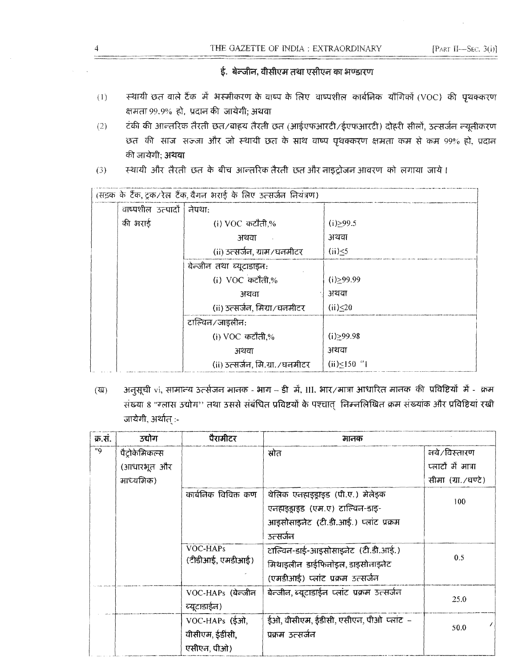# ई. बेन्जीन, वीसीएम तथा एसीएन का भण्डारण

- स्थायी छत वाले टैंक में भस्मीकरण के वाष्प के लिए वाष्पशील कार्बनिक यौगिकों (VOC) की पृथक्करण  $(1)$ क्षमता 99.9% हो, प्रदान की जायेगी; अथवा
- टंकी की आन्तरिक तैरती छत⁄बाहय तैरती छत (आईएफआरटी/ईएफआरटी) दोहरी सीलों, उत्सर्जन न्यूनीकरण  $(2)$ छत की साज सज्जा और जो स्थायी छत के साथ वाष्प पृथक्करण क्षमता कम से कम 99% हो, प्रदान की जायेगी: अथवा
- स्थायी और तैरती छत के बीच आन्तरिक तैरती छत और नाइट्रोजन आवरण को लगाया जाये।  $(3)$

| (सड़क के टैंक, ट्रक/रेल टैंक, वैगन भराई के लिए उत्सर्जन नियंत्रण) |                                  |                |  |  |  |
|-------------------------------------------------------------------|----------------------------------|----------------|--|--|--|
| वाष्पशील उत्पादों ।                                               | नेपथा:                           |                |  |  |  |
| की भराई                                                           | (i) VOC कटौती,%                  | (i) > 99.5     |  |  |  |
|                                                                   | अथवा                             | अथवा           |  |  |  |
|                                                                   | (ii) उत्सर्जन, ग्राम/घनमीटर      | $(ii) \leq 5$  |  |  |  |
|                                                                   | बेन्जीन तथा ब्यूटाडाइन:          |                |  |  |  |
|                                                                   | (i) VOC कटौती,%                  | (i) > 99.99    |  |  |  |
|                                                                   | अथवा                             | अथवा           |  |  |  |
|                                                                   | (ii) उत्सर्जन, मिग्रा/घनमीटर     | (ii) < 20      |  |  |  |
| टाल्विन/जाइलीन:                                                   |                                  |                |  |  |  |
|                                                                   | (i) VOC कटौती,%                  | (i) > 99.98    |  |  |  |
|                                                                   | अथवा                             | अथवा           |  |  |  |
|                                                                   | (ii) उत्सर्जन, मि.ग्रा. ⁄ घनमीटर | $(ii) < 150$ " |  |  |  |

अनुसूची vi, सामान्य उत्सेजन मानक - भाग – डी में, III. भार/मात्रा आधारित मानक की प्रविष्टियों में - क्रम  $(\overline{u})$ संख्या 8 "ग्लास उद्योग" तथा उससे संबंधित प्रविष्टयों के पश्चात् निम्नलिखित क्रम संख्यांक और प्रविष्टियां रखी जायेगी, अर्थात् :-

| क्र.सं. | उद्योग       | पैरामीटर            | मानक                                        |                    |
|---------|--------------|---------------------|---------------------------------------------|--------------------|
| "9      | पैटोकेमिकल्स |                     | स्रोत                                       | नये/विस्तारण       |
|         | (आधारभूत और  |                     |                                             | प्लाटों में मात्रा |
|         | माध्यमिक)    |                     |                                             | सीमा (ग्रा./घण्टे) |
|         |              | कार्बनिक विविक्त कण | थेलिक एनहाइड्राइड (पी.ए.) मेलेइक            |                    |
|         |              |                     | एलहाइड्राइड (एम.ए) टाल्विल-डाइ-             | 100                |
|         |              |                     | आइसोसाइनेट (टी.डी.आई.) प्लांट प्रक्रम       |                    |
|         |              |                     | उत्सर्जन                                    |                    |
|         |              | VOC-HAPs            | टाल्विन-डाई-आइसोसाइनेट (टी.डी.आई.)          |                    |
|         |              | (टीडीआई, एमडीआई)    | मिथाइलीन डाईफिनॉइल, डाइसोनाइनेट             | 0.5                |
|         |              |                     | (एमडीआई) प्लांट प्रक्रम उत्सर्जन            |                    |
|         |              | VOC-HAPs (बेन्जीन   | बेन्जीन, ब्यूटाडाईन प्लांट प्रक्रम उत्सर्जन |                    |
|         |              | ब्यूटाडाईन)         |                                             | 25.0               |
|         |              | VOC-HAPs (ईओ,       | ईओ, वीसीएम, ईडीसी, एसीएन, पीओ प्लांट –      |                    |
|         |              | वीसीएम, ईंडींसी,    | प्रक्रम उत्सर्जन                            | 50.0               |
|         |              | एसीएन, पीओ)         |                                             |                    |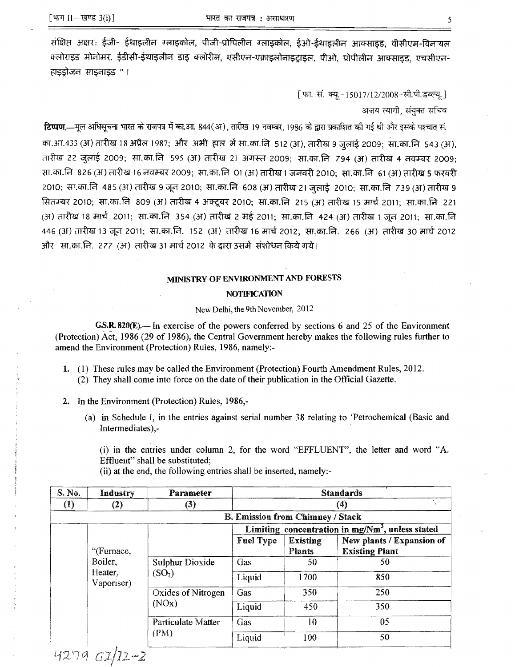संक्षिप्त अक्षरः ईजी- ईथाइलीन ग्लाइकोल, पीजी-प्रोपिलीन ग्लाइकोल, ईओ-ईथाइलीन आक्साइड, वीसीएम-विनायल क्लोराइड मोनोमर, ईडीसी-ईथाइलीन डाइ क्लोरीन, एसीएन-एक्राइलोनाइटाइल, पीओ, प्रोपीलीन आक्साइड, एचसीएन-हाइडोजन साइनाइड " ।

[फा. सं. क्यू.-15017/12/2008-सी.पी.डब्ल्यू.]

अजय त्यागी, संयुक्त सचिव

**टिप्पण.**—मूल अधिसूचना भारत के राजपत्र में का.आ. 844(अ), तारीख 19 नवम्बर, 1986 के द्वारा प्रकाशित की गई थी और इसके पश्चात सं. का.आ.433 (अ) तारीख 18 अप्रैल 1987; और अभी हाल में सा.का.नि 512 (अ), तारीख 9 जुलाई 2009; सा.का.नि 543 (अ), तारीख 22 जुलाई 2009; सा.का.नि 595 (अ) तारीख 21 अगस्त 2009; सा.का.नि 794 (अ) तारीख 4 नवम्बर 2009; सा.का.नि 826 (अ) तारीख 16 नवम्बर 2009; सा.का.नि 01 (अ) तारीख 1 जनवरी 2010; सा.का.नि 61 (अ) तारीख 5 फरवरी 2010; सा.का.नि 485 (अ) तारीख 9 जून 2010; सा.का.नि 608 (अ) तारीख 21 जुलाई 2010; सा.का.नि 739 (अ) तारीख 9 सितम्बर 2010; सा.का.नि 809 (अ) तारीख 4 अक्टूबर 2010; सा.का.नि 215 (अ) तारीख 15 मार्च 2011; सा.का.नि 221 (अ) तारीख 18 मार्च 2011; सा.का.नि 354 (अ) तारीख 2 मई 2011; सा.का.नि 424 (अ) तारीख 1 जून 2011; सा.का.नि 446 (अ) तारीख 13 जून 2011; सा.का.नि. 152 (अ) तारीख 16 मार्च 2012; सा.का.नि. 266 (अ) तारीख 30 मार्च 2012 3ॉोर) सा.का.नि. 277 (अ) तारीख 31 मार्च 2012 के द्वारा उसमें संशोधन किये गये।

#### MINISTRY OF ENVIRONMENT AND FORESTS

#### **NOTIFICATION**

#### New Delhi, the 9th November, 2012

GS.R. 820 $(E)$ . In exercise of the powers conferred by sections 6 and 25 of the Environment (Protection) Act, 1986 (29 of 1986), the Central Government hereby makes the following rules further to amend the Environment (Protection) Rules, 1986, namely:

- 1. (1) These rules may be called the Environment (Protection) Fourth Amendment Rules, 2012. (2) They shall come into force on the date of their publication in the Official Gazette.
- 2. In the Environment (Protection) Rules, 1986,-
	- (a) in Schedule I, in the entries against serial number 38 relating to 'Petrochemical (Basic and Intermediates),-

(i) in the entries under column 2, for the word "EFFLUENT", the letter and word "A. Effluent" shall be substituted;

(ii) at the end, the following entries shall be inserted, namely:

| S. No.            | Industry              | Parameter                                                   | <b>Standards</b><br>(4)                 |                                  |                                                    |
|-------------------|-----------------------|-------------------------------------------------------------|-----------------------------------------|----------------------------------|----------------------------------------------------|
| $\left( 1\right)$ | (2)                   | (3)                                                         |                                         |                                  |                                                    |
|                   |                       |                                                             | <b>B. Emission from Chimney / Stack</b> |                                  |                                                    |
|                   |                       |                                                             |                                         |                                  | Limiting concentration in $mg/Nm3$ , unless stated |
|                   | "(Furnace,            |                                                             | <b>Fuel Type</b>                        | <b>Existing</b><br><b>Plants</b> | New plants / Expansion of<br><b>Existing Plant</b> |
|                   | Boiler,               | Sulphur Dioxide<br>(SO <sub>2</sub> )<br>Oxides of Nitrogen | Gas                                     | 50                               | 50                                                 |
|                   | Heater,<br>Vaporiser) |                                                             | Liquid                                  | 1700                             | 850                                                |
|                   |                       |                                                             | Gas                                     | 350                              | 250                                                |
|                   |                       | (NOx)                                                       | Liquid                                  | 450                              | 350                                                |
|                   |                       | <b>Particulate Matter</b>                                   | Gas                                     | 10                               | 05                                                 |
|                   |                       | (PM)                                                        | Liquid                                  | 100                              | 50                                                 |

4279 61/12-2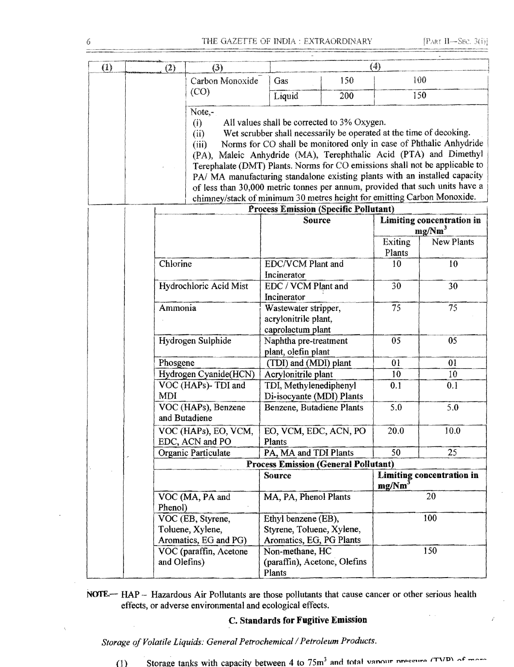ż

| (1)                            |            | (2)               | (3)                                                                                                                                                                                                                                                                                                                                                                                                                                                                                                                                                                                                                                   |                                                                              |     | (4)                       |                           |
|--------------------------------|------------|-------------------|---------------------------------------------------------------------------------------------------------------------------------------------------------------------------------------------------------------------------------------------------------------------------------------------------------------------------------------------------------------------------------------------------------------------------------------------------------------------------------------------------------------------------------------------------------------------------------------------------------------------------------------|------------------------------------------------------------------------------|-----|---------------------------|---------------------------|
|                                |            |                   | Carbon Monoxide                                                                                                                                                                                                                                                                                                                                                                                                                                                                                                                                                                                                                       | Gas                                                                          | 150 | 100                       |                           |
|                                |            |                   | (CO)                                                                                                                                                                                                                                                                                                                                                                                                                                                                                                                                                                                                                                  | Liquid                                                                       | 200 | 150                       |                           |
| Note,-<br>(i)<br>(ii)<br>(iii) |            |                   | All values shall be corrected to 3% Oxygen.<br>Wet scrubber shall necessarily be operated at the time of decoking.<br>Norms for CO shall be monitored only in case of Phthalic Anhydride<br>(PA), Maleic Anhydride (MA), Terephthalic Acid (PTA) and Dimethyl<br>Terephalate (DMT) Plants. Norms for CO emissions shall not be applicable to<br>PA/ MA manufacturing standalone existing plants with an installed capacity<br>of less than 30,000 metric tonnes per annum, provided that such units have a<br>chimney/stack of minimum 30 metres height for emitting Carbon Monoxide.<br><b>Process Emission (Specific Pollutant)</b> |                                                                              |     |                           |                           |
|                                |            |                   |                                                                                                                                                                                                                                                                                                                                                                                                                                                                                                                                                                                                                                       | Source                                                                       |     |                           | Limiting concentration in |
|                                |            |                   |                                                                                                                                                                                                                                                                                                                                                                                                                                                                                                                                                                                                                                       |                                                                              |     |                           | mg/Nm <sup>3</sup>        |
|                                |            |                   |                                                                                                                                                                                                                                                                                                                                                                                                                                                                                                                                                                                                                                       |                                                                              |     | <b>Exiting</b><br>Plants  | New Plants                |
|                                |            | Chlorine          |                                                                                                                                                                                                                                                                                                                                                                                                                                                                                                                                                                                                                                       | EDC/VCM Plant and<br>Incinerator                                             |     | 10                        | 10                        |
|                                |            |                   | Hydrochloric Acid Mist                                                                                                                                                                                                                                                                                                                                                                                                                                                                                                                                                                                                                | EDC / VCM Plant and<br>Incinerator                                           |     | 30                        | 30                        |
|                                | Ammonia    |                   |                                                                                                                                                                                                                                                                                                                                                                                                                                                                                                                                                                                                                                       | Wastewater stripper,<br>acrylonitrile plant,<br>caprolactum plant            |     | 75                        | 75                        |
|                                |            | Hydrogen Sulphide |                                                                                                                                                                                                                                                                                                                                                                                                                                                                                                                                                                                                                                       | Naphtha pre-treatment<br>plant, olefin plant                                 |     | 05                        | 05                        |
|                                |            | Phosgene          |                                                                                                                                                                                                                                                                                                                                                                                                                                                                                                                                                                                                                                       | (TDI) and (MDI) plant                                                        |     | 01                        | 01                        |
|                                |            |                   | Hydrogen Cyanide(HCN)                                                                                                                                                                                                                                                                                                                                                                                                                                                                                                                                                                                                                 | Acrylonitrile plant                                                          |     | 10                        | 10 <sup>°</sup>           |
|                                | <b>MDI</b> |                   | VOC (HAPs)-TDI and                                                                                                                                                                                                                                                                                                                                                                                                                                                                                                                                                                                                                    | TDI, Methylenediphenyl<br>Di-isocyante (MDI) Plants                          |     | 0.1                       | 0.1                       |
|                                |            |                   | VOC (HAPs), Benzene<br>and Butadiene                                                                                                                                                                                                                                                                                                                                                                                                                                                                                                                                                                                                  | Benzene, Butadiene Plants                                                    |     | 5.0                       | 5.0                       |
|                                |            |                   | VOC (HAPs), EO, VCM,<br>EDC, ACN and PO                                                                                                                                                                                                                                                                                                                                                                                                                                                                                                                                                                                               | EO, VCM, EDC, ACN, PO<br>Plants                                              |     | 20.0                      | 10.0                      |
|                                |            |                   | Organic Particulate                                                                                                                                                                                                                                                                                                                                                                                                                                                                                                                                                                                                                   | PA, MA and TDI Plants                                                        |     | 50                        | 25                        |
|                                |            |                   |                                                                                                                                                                                                                                                                                                                                                                                                                                                                                                                                                                                                                                       | <b>Process Emission (General Pollutant)</b>                                  |     |                           |                           |
|                                |            |                   |                                                                                                                                                                                                                                                                                                                                                                                                                                                                                                                                                                                                                                       | <b>Source</b><br>mg/Nm <sup>3</sup>                                          |     | Limiting concentration in |                           |
|                                |            | Phenol)           | VOC (MA, PA and                                                                                                                                                                                                                                                                                                                                                                                                                                                                                                                                                                                                                       | MA, PA, Phenol Plants                                                        |     |                           | 20                        |
|                                |            |                   | VOC (EB, Styrene,<br>Toluene, Xylene,<br>Aromatics, EG and PG)                                                                                                                                                                                                                                                                                                                                                                                                                                                                                                                                                                        | Ethyl benzene (EB),<br>Styrene, Toluene, Xylene,<br>Aromatics, EG, PG Plants |     |                           | 100                       |
|                                |            | and Olefins)      | VOC (paraffin, Acetone                                                                                                                                                                                                                                                                                                                                                                                                                                                                                                                                                                                                                | Non-methane, HC<br>(paraffin), Acetone, Olefins<br>Plants                    |     |                           | 150                       |

NOTE-HAP - Hazardous Air Pollutants are those pollutants that cause cancer or other serious health effects, or adverse environmental and ecological effects.

## **C. Standards for Fugitive** Emission

Storage of Volatile Liquids: General Petrochemical / Petroleum Products.

 $\mathcal{L}_{\text{eff}}$ 

Storage tanks with capacity between 4 to  $75m^3$  and total vanour pressure  $(TND)$  of more  $(1)$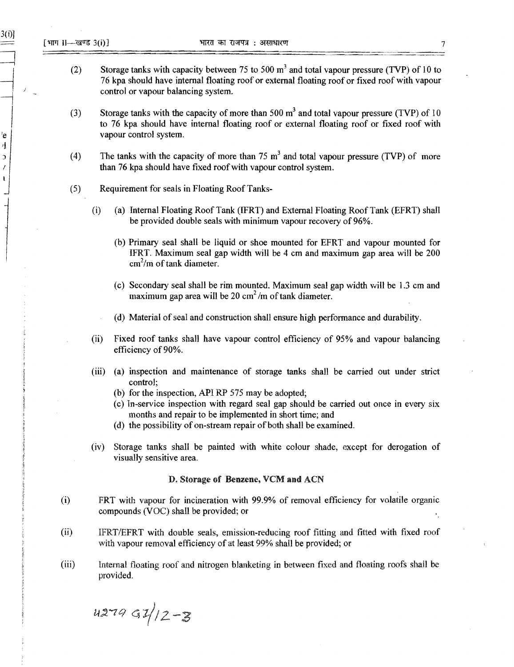$\begin{array}{c} \begin{array}{ccc} \begin{array}{ccc} \end{array} & \end{array} & \begin{array}{ccc} \end{array} & \end{array} \end{array}$ 

 $e$  $\eta$  $\overline{\mathbf{z}}$  $\overline{I}$  $\pmb{\mathrm{i}}$ 

3(i))

- (2) Storage tanks with capacity between 75 to 500  $m<sup>3</sup>$  and total vapour pressure (TVP) of 10 to ~ 76 kpa should have internal floating roof or external floating roof or fixed roof with vapour control or vapour balancing system.
- (3) Storage tanks with the capacity of more than 500  $m<sup>3</sup>$  and total vapour pressure (TVP) of 10 to 76 kpa should have internal floating roof or external floating roof or fixed roof with vapour control system.
- (4) The tanks with the capacity of more than 75  $m<sup>3</sup>$  and total vapour pressure (TVP) of more than 76 kpa should have fixed roof with vapour control system.
- (5) Requirement for seals in Floating Roof Tanks
	- (i) (a) Internal Floating Roof Tank (IFRT) and External Floating Roof Tank (EFRT) shall be provided double seals with minimum vapour recovery of 96%.
		- (b) Primary seal shall be liquid or shoe mounted for EFRT and vapour mounted for IFRT. Maximum seal gap width will be 4 cm and maximum gap area will be 200 *cm 2 /m* oftank diameter.
		- (c) Secondary seal shall be rim mounted. Maximum seal gap width will be 1.3 cm and maximum gap area will be 20 *cm 2 /m* oftank diameter.
		- (d) Material of seal and construction shall ensure high performance and durability.
	- (ii) Fixed roof tanks shall have vapour control efficiency of 95% and vapour balancing efficiency of 90%.
	- (iii) (a) inspection and maintenance of storage tanks shall be carried out under strict control;
		- (b) for the inspection, API RP 575 may be adopted;
		- (c) In-service inspection with regard seal gap should be carried out once in every six months and repair to be implemented in short time; and
		- (d) the possibility of on-stream repair of both shall be examined.
	- (iv) Storage tanks shall be painted with white colour shade, except for derogation of visually sensitive area.

#### D. Storage of Benzene, VCM and ACN

- (i) FRT with vapour for incineration with 99.9% of removal efficiency for volatile organic compounds (VOC) shall be provided; or
- (ii) IFRT/EFRT with double seals, emission-reducing roof fitting and fitted with fixed roof with vapour removal efficiency of at least 99% shall be provided; or
- (iii) Internal floating roof and nitrogen blanketing in between fixed and floating roofs shall be provided.

 $427991/2-3$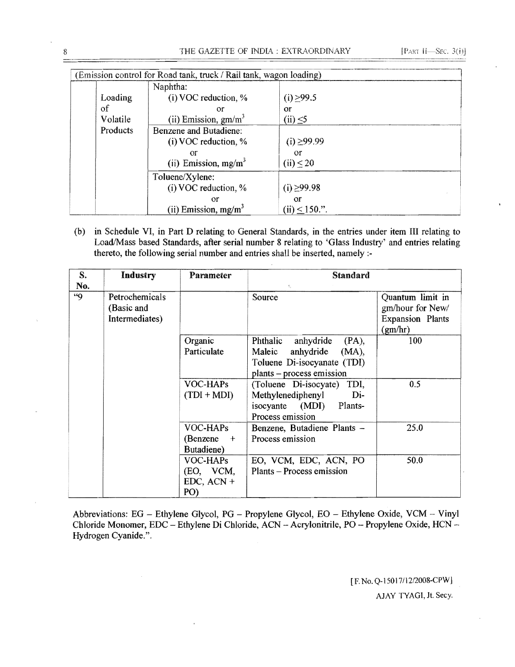| (Emission control for Road tank, truck / Rail tank, wagon loading) |                                                                                   |                                                   |  |  |  |
|--------------------------------------------------------------------|-----------------------------------------------------------------------------------|---------------------------------------------------|--|--|--|
| Loading<br>of<br>Volatile                                          | Naphtha:<br>$(i)$ VOC reduction, %<br>or<br>(ii) Emission, $gm/m3$                | $(i) \geq 99.5$<br>or<br>$(ii) \leq 5$            |  |  |  |
| Products                                                           | Benzene and Butadiene:<br>$(i)$ VOC reduction, %<br>or<br>(ii) Emission, $mg/m^3$ | $(i) \ge 99.99$<br>or<br>$(ii) \leq 20$           |  |  |  |
|                                                                    | Toluene/Xylene:<br>$(i)$ VOC reduction, %<br>or<br>(ii) Emission, $mg/m3$         | $(i) \ge 99.98$<br>$\alpha$<br>(ii) $\leq$ 150.". |  |  |  |

(b) in Schedule VI, in Part D relating to General Standards, in the entries under item III relating to Load/Mass based Standards, after serial number 8 relating to 'Glass Industry' and entries relating thereto, the following serial number and entries shall be inserted, namely :

| S.<br>No. | Industry                                       | Parameter                                    | <b>Standard</b><br>$\mathcal{X}_{\mathcal{X}}$                                                                                |                                                                            |  |
|-----------|------------------------------------------------|----------------------------------------------|-------------------------------------------------------------------------------------------------------------------------------|----------------------------------------------------------------------------|--|
| 49        | Petrochemicals<br>(Basic and<br>Intermediates) |                                              | Source                                                                                                                        | Quantum limit in<br>gm/hour for New/<br><b>Expansion Plants</b><br>(gm/hr) |  |
|           |                                                | Organic<br>Particulate                       | anhydride<br>Phthalic<br>$(PA)$ ,<br>anhydride<br>(MA),<br>Maleic<br>Toluene Di-isocyanate (TDI)<br>plants - process emission | 100                                                                        |  |
|           |                                                | VOC-HAPs<br>$(TDI + MDI)$                    | (Toluene Di-isocyate) TDI,<br>Methylenediphenyl<br>Di-<br>isocyante (MDI) Plants-<br>Process emission                         | 0.5                                                                        |  |
|           |                                                | VOC-HAPs<br>(Benzene)<br>$+$<br>Butadiene)   | Benzene, Butadiene Plants -<br>Process emission                                                                               | 25.0                                                                       |  |
|           |                                                | VOC-HAPs<br>(EO, VCM,<br>$EDC, ACN +$<br>PO) | EO, VCM, EDC, ACN, PO<br>Plants – Process emission                                                                            | 50.0                                                                       |  |

Abbreviations: EG - Ethylene Glycol, PG - Propylene Glycol, EO - Ethylene Oxide, VCM - Vinyl Chloride Monomer, EDC - Ethylene Di Chloride, ACN - Acrylonitrile, PO - Propylene Oxide, HCN -Hydrogen Cyanide.".

> [F. No. Q-15017/12/2008-CPW] AJAY TYAGl, Jt. Secy.